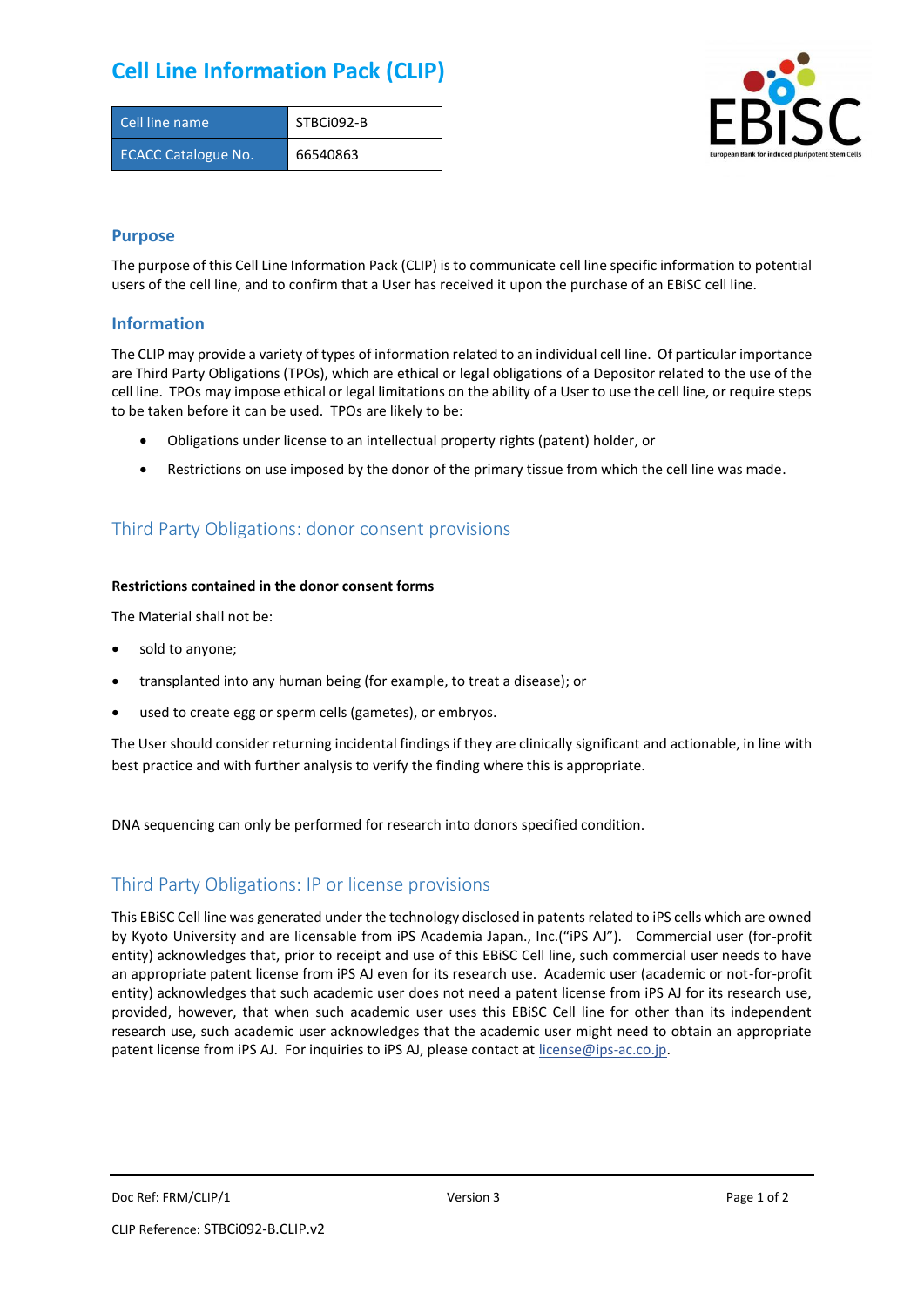## **Cell Line Information Pack (CLIP)**

| Cell line name             | STBCi092-B |
|----------------------------|------------|
| <b>ECACC Catalogue No.</b> | 66540863   |



### **Purpose**

The purpose of this Cell Line Information Pack (CLIP) is to communicate cell line specific information to potential users of the cell line, and to confirm that a User has received it upon the purchase of an EBiSC cell line.

### **Information**

The CLIP may provide a variety of types of information related to an individual cell line. Of particular importance are Third Party Obligations (TPOs), which are ethical or legal obligations of a Depositor related to the use of the cell line. TPOs may impose ethical or legal limitations on the ability of a User to use the cell line, or require steps to be taken before it can be used. TPOs are likely to be:

- Obligations under license to an intellectual property rights (patent) holder, or
- Restrictions on use imposed by the donor of the primary tissue from which the cell line was made.

## Third Party Obligations: donor consent provisions

#### **Restrictions contained in the donor consent forms**

The Material shall not be:

- sold to anyone;
- transplanted into any human being (for example, to treat a disease); or
- used to create egg or sperm cells (gametes), or embryos.

The User should consider returning incidental findings if they are clinically significant and actionable, in line with best practice and with further analysis to verify the finding where this is appropriate.

DNA sequencing can only be performed for research into donors specified condition.

## Third Party Obligations: IP or license provisions

This EBiSC Cell line was generated under the technology disclosed in patents related to iPS cells which are owned by Kyoto University and are licensable from iPS Academia Japan., Inc.("iPS AJ"). Commercial user (for-profit entity) acknowledges that, prior to receipt and use of this EBiSC Cell line, such commercial user needs to have an appropriate patent license from iPS AJ even for its research use. Academic user (academic or not-for-profit entity) acknowledges that such academic user does not need a patent license from iPS AJ for its research use, provided, however, that when such academic user uses this EBiSC Cell line for other than its independent research use, such academic user acknowledges that the academic user might need to obtain an appropriate patent license from iPS AJ. For inquiries to iPS AJ, please contact at [license@ips-ac.co.jp.](mailto:license@ips-ac.co.jp)

Doc Ref: FRM/CLIP/1 **Doces 2** Page 1 of 2 Page 1 of 2